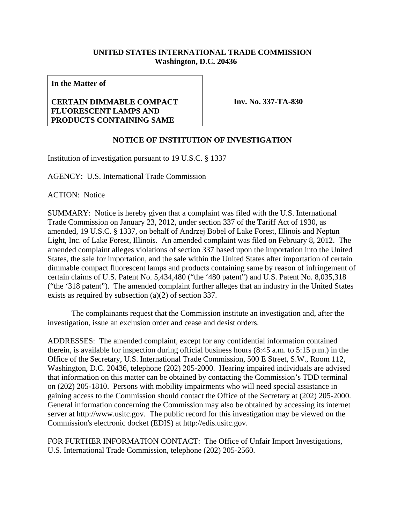## **UNITED STATES INTERNATIONAL TRADE COMMISSION Washington, D.C. 20436**

**In the Matter of** 

## **CERTAIN DIMMABLE COMPACT FLUORESCENT LAMPS AND PRODUCTS CONTAINING SAME**

**Inv. No. 337-TA-830**

## **NOTICE OF INSTITUTION OF INVESTIGATION**

Institution of investigation pursuant to 19 U.S.C. § 1337

AGENCY: U.S. International Trade Commission

ACTION: Notice

SUMMARY: Notice is hereby given that a complaint was filed with the U.S. International Trade Commission on January 23, 2012, under section 337 of the Tariff Act of 1930, as amended, 19 U.S.C. § 1337, on behalf of Andrzej Bobel of Lake Forest, Illinois and Neptun Light, Inc. of Lake Forest, Illinois. An amended complaint was filed on February 8, 2012. The amended complaint alleges violations of section 337 based upon the importation into the United States, the sale for importation, and the sale within the United States after importation of certain dimmable compact fluorescent lamps and products containing same by reason of infringement of certain claims of U.S. Patent No. 5,434,480 ("the '480 patent") and U.S. Patent No. 8,035,318 ("the '318 patent"). The amended complaint further alleges that an industry in the United States exists as required by subsection (a)(2) of section 337.

 The complainants request that the Commission institute an investigation and, after the investigation, issue an exclusion order and cease and desist orders.

ADDRESSES: The amended complaint, except for any confidential information contained therein, is available for inspection during official business hours (8:45 a.m. to 5:15 p.m.) in the Office of the Secretary, U.S. International Trade Commission, 500 E Street, S.W., Room 112, Washington, D.C. 20436, telephone (202) 205-2000. Hearing impaired individuals are advised that information on this matter can be obtained by contacting the Commission's TDD terminal on (202) 205-1810. Persons with mobility impairments who will need special assistance in gaining access to the Commission should contact the Office of the Secretary at (202) 205-2000. General information concerning the Commission may also be obtained by accessing its internet server at http://www.usitc.gov. The public record for this investigation may be viewed on the Commission's electronic docket (EDIS) at http://edis.usitc.gov.

FOR FURTHER INFORMATION CONTACT: The Office of Unfair Import Investigations, U.S. International Trade Commission, telephone (202) 205-2560.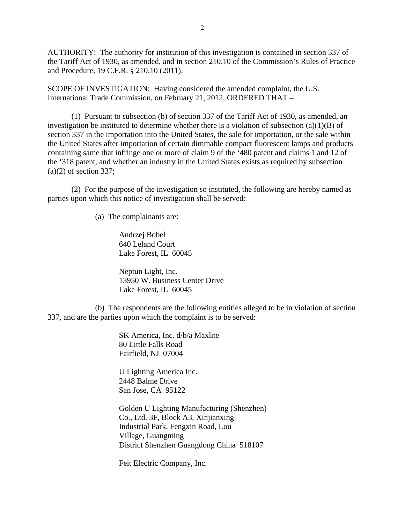AUTHORITY: The authority for institution of this investigation is contained in section 337 of the Tariff Act of 1930, as amended, and in section 210.10 of the Commission's Rules of Practice and Procedure, 19 C.F.R. § 210.10 (2011).

SCOPE OF INVESTIGATION: Having considered the amended complaint, the U.S. International Trade Commission, on February 21, 2012, ORDERED THAT –

 (1) Pursuant to subsection (b) of section 337 of the Tariff Act of 1930, as amended, an investigation be instituted to determine whether there is a violation of subsection  $(a)(1)(B)$  of section 337 in the importation into the United States, the sale for importation, or the sale within the United States after importation of certain dimmable compact fluorescent lamps and products containing same that infringe one or more of claim 9 of the '480 patent and claims 1 and 12 of the '318 patent, and whether an industry in the United States exists as required by subsection  $(a)(2)$  of section 337;

 (2) For the purpose of the investigation so instituted, the following are hereby named as parties upon which this notice of investigation shall be served:

(a) The complainants are:

 Andrzej Bobel 640 Leland Court Lake Forest, IL 60045

 Neptun Light, Inc. 13950 W. Business Center Drive Lake Forest, IL 60045

 (b) The respondents are the following entities alleged to be in violation of section 337, and are the parties upon which the complaint is to be served:

> SK America, Inc. d/b/a Maxlite 80 Little Falls Road Fairfield, NJ 07004

 U Lighting America Inc. 2448 Balme Drive San Jose, CA 95122

 Golden U Lighting Manufacturing (Shenzhen) Co., Ltd. 3F, Block A3, Xinjianxing Industrial Park, Fengxin Road, Lou Village, Guangming District Shenzhen Guangdong China 518107

Feit Electric Company, Inc.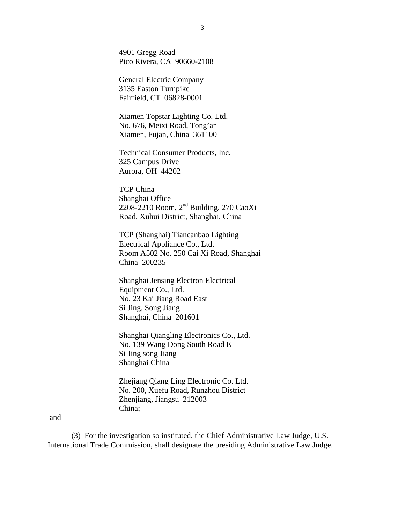4901 Gregg Road Pico Rivera, CA 90660-2108

 General Electric Company 3135 Easton Turnpike Fairfield, CT 06828-0001

 Xiamen Topstar Lighting Co. Ltd. No. 676, Meixi Road, Tong'an Xiamen, Fujan, China 361100

 Technical Consumer Products, Inc. 325 Campus Drive Aurora, OH 44202

 TCP China Shanghai Office 2208-2210 Room, 2nd Building, 270 CaoXi Road, Xuhui District, Shanghai, China

 TCP (Shanghai) Tiancanbao Lighting Electrical Appliance Co., Ltd. Room A502 No. 250 Cai Xi Road, Shanghai China 200235

 Shanghai Jensing Electron Electrical Equipment Co., Ltd. No. 23 Kai Jiang Road East Si Jing, Song Jiang Shanghai, China 201601

 Shanghai Qiangling Electronics Co., Ltd. No. 139 Wang Dong South Road E Si Jing song Jiang Shanghai China

 Zhejiang Qiang Ling Electronic Co. Ltd. No. 200, Xuefu Road, Runzhou District Zhenjiang, Jiangsu 212003 China;

## and

 (3) For the investigation so instituted, the Chief Administrative Law Judge, U.S. International Trade Commission, shall designate the presiding Administrative Law Judge.